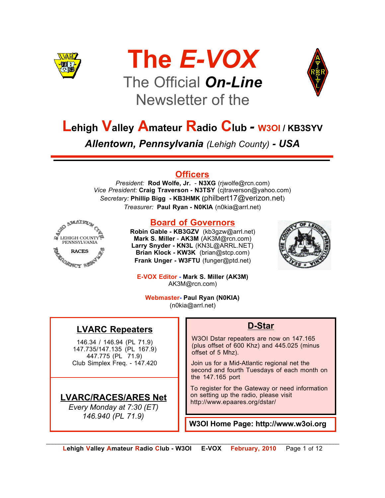





## **Lehigh Valley Amateur Radio Club** *-* **W3OI / KB3SYV**

*Allentown, Pennsylvania (Lehigh County) - USA*

#### **Officers**

*President:* **Rod Wolfe, Jr.** - **N3XG** (rjwolfe@rcn.com) *Vice President:* **Craig Traverson - N3TSY** (cjtraverson@yahoo.com) *Secretary:* **Phillip Bigg - KB3HMK (**philbert17@verizon.net) *Treasurer:* **Paul Ryan - N0KIA** (n0kia@arrl.net)



#### **Board of Governors**

**Robin Gable - KB3GZV** (kb3gzw@arrl.net) **Mark S. Miller** - **AK3M** (AK3M@rcn.com) **Larry Snyder - KN3L** (KN3L@ARRL.NET) **Brian Klock - KW3K** (brian@stcp.com) **Frank Unger - W3FTU** (funger@ptd.net)



**E-VOX Editor - Mark S. Miller (AK3M)** AK3M@rcn.com)

**Webmaster- Paul Ryan (N0KIA)** (n0kia@arrl.net)

#### **LVARC Repeaters**

146.34 / 146.94 (PL 71.9) 147.735/147.135 (PL 167.9) 447.775 (PL 71.9) Club Simplex Freq. - 147.420

#### **LVARC/RACES/ARES Net**

*Every Monday at 7:30 (ET) 146.940 (PL 71.9)*

#### **D-Star**

W3OI Dstar repeaters are now on 147.165 (plus offset of 600 Khz) and 445.025 (minus offset of 5 Mhz).

Join us for a Mid-Atlantic regional net the second and fourth Tuesdays of each month on the 147.165 port

To register for the Gateway or need information on setting up the radio, please visit http://www.epaares.org/dstar/

**W3OI Home Page: http://www.w3oi.org**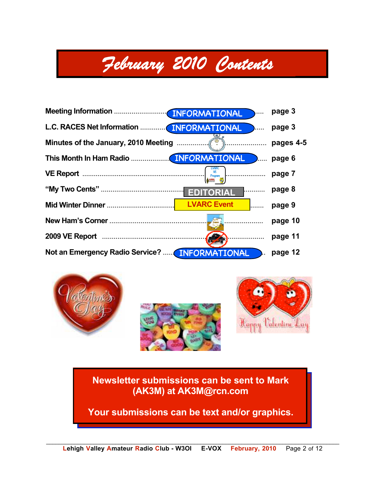## *February 2010 Contents*

|                                                      |                                                                                                                                                               | page 3    |
|------------------------------------------------------|---------------------------------------------------------------------------------------------------------------------------------------------------------------|-----------|
| L.C. RACES Net Information  INFORMATIONAL            | .                                                                                                                                                             | page 3    |
|                                                      |                                                                                                                                                               | pages 4-5 |
|                                                      |                                                                                                                                                               | page 6    |
|                                                      | $\begin{pmatrix} \frac{1}{\sqrt{2}} & \frac{1}{\sqrt{2}} \\ \frac{1}{\sqrt{2}} & \frac{1}{\sqrt{2}} \\ \frac{1}{\sqrt{2}} & \frac{1}{\sqrt{2}} \end{pmatrix}$ | page 7    |
|                                                      |                                                                                                                                                               | page 8    |
|                                                      | <b>LVARC Event</b>                                                                                                                                            | page 9    |
|                                                      |                                                                                                                                                               | page 10   |
|                                                      | .<br>$(\sqrt{2})$                                                                                                                                             | page 11   |
| Not an Emergency Radio Service? <b>INFORMATIONAL</b> |                                                                                                                                                               | page 12   |





**Newsletter submissions can be sent to Mark (AK3M) at AK3M@rcn.com**

**Your submissions can be text and/or graphics.**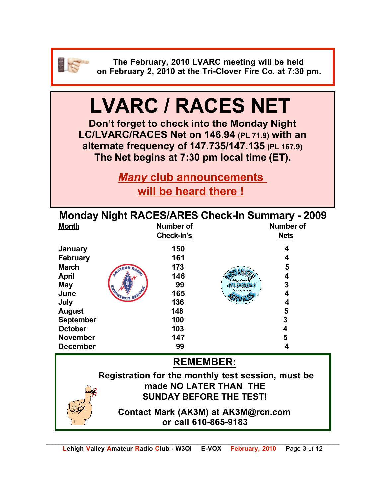

**The February, 2010 LVARC meeting will be held on February 2, 2010 at the Tri-Clover Fire Co. at 7:30 pm.**

## **LVARC / RACES NET**

**Don't forget to check into the Monday Night LC/LVARC/RACES Net on 146.94 (PL 71.9) with an alternate frequency of 147.735/147.135 (PL 167.9) The Net begins at 7:30 pm local time (ET).** 

> *Many* **club announcements will be heard there !**

| <b>Month</b>                                       | <b>Monday Night RACES/ARES Check-In Summary - 2009</b><br><b>Number of</b><br>Check-In's | <b>Number of</b><br><b>Nets</b> |  |  |
|----------------------------------------------------|------------------------------------------------------------------------------------------|---------------------------------|--|--|
| January                                            | 150                                                                                      | 4                               |  |  |
| <b>February</b>                                    | 161                                                                                      | 4                               |  |  |
| <b>March</b>                                       | 173                                                                                      | 5                               |  |  |
| <b>April</b>                                       | 146                                                                                      | 4                               |  |  |
| <b>May</b>                                         | 99                                                                                       | 3<br>GIVIL EMERGENCY            |  |  |
| June                                               | <b>ARRIVENCY 5</b><br>165                                                                | <b>Pennsylvania</b><br>4        |  |  |
| July                                               | 136                                                                                      | 4                               |  |  |
| <b>August</b>                                      | 148                                                                                      | 5                               |  |  |
| <b>September</b>                                   | 100                                                                                      | 3                               |  |  |
| <b>October</b>                                     | 103                                                                                      | 4                               |  |  |
| <b>November</b>                                    | 147                                                                                      | 5                               |  |  |
| <b>December</b>                                    | 99                                                                                       | 4                               |  |  |
| <b>REMEMBER:</b>                                   |                                                                                          |                                 |  |  |
| Registration for the monthly test session, must be |                                                                                          |                                 |  |  |
| made NO LATER THAN THE                             |                                                                                          |                                 |  |  |
|                                                    | <b>SUNDAY BEFORE THE TEST!</b>                                                           |                                 |  |  |
|                                                    | Contact Mark (AK3M) at AK3M@rcn.com<br>or call 610-865-9183                              |                                 |  |  |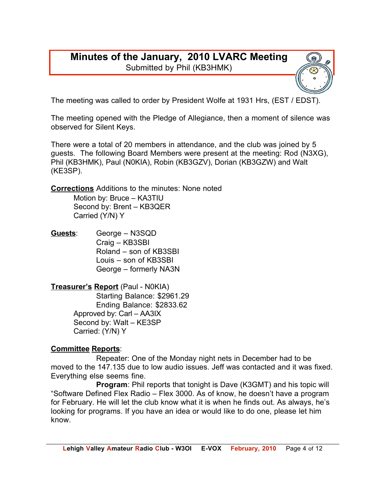#### **Minutes of the January, 2010 LVARC Meeting** Submitted by Phil (KB3HMK)



The meeting was called to order by President Wolfe at 1931 Hrs, (EST / EDST).

The meeting opened with the Pledge of Allegiance, then a moment of silence was observed for Silent Keys.

There were a total of 20 members in attendance, and the club was joined by 5 guests. The following Board Members were present at the meeting: Rod (N3XG), Phil (KB3HMK), Paul (N0KIA), Robin (KB3GZV), Dorian (KB3GZW) and Walt (KE3SP).

**Corrections** Additions to the minutes: None noted Motion by: Bruce – KA3TIU Second by: Brent – KB3QER

Carried (Y/N) Y

**Guests**: George – N3SQD Craig – KB3SBI Roland – son of KB3SBI Louis – son of KB3SBI George – formerly NA3N

**Treasurer's Report** (Paul - N0KIA) Starting Balance: \$2961.29 Ending Balance: \$2833.62 Approved by: Carl – AA3IX Second by: Walt – KE3SP Carried: (Y/N) Y

#### **Committee Reports**:

Repeater: One of the Monday night nets in December had to be moved to the 147.135 due to low audio issues. Jeff was contacted and it was fixed. Everything else seems fine.

**Program**: Phil reports that tonight is Dave (K3GMT) and his topic will "Software Defined Flex Radio – Flex 3000. As of know, he doesn't have a program for February. He will let the club know what it is when he finds out. As always, he's looking for programs. If you have an idea or would like to do one, please let him know.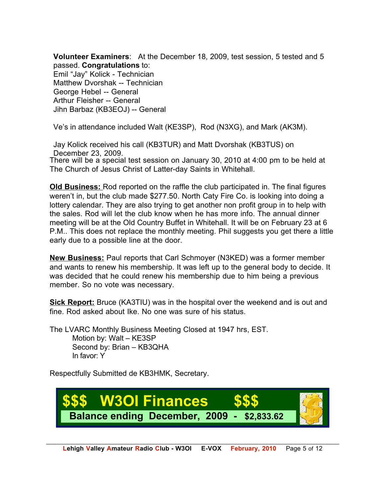**Volunteer Examiners**: At the December 18, 2009, test session, 5 tested and 5 passed. **Congratulations** to:

Emil "Jay" Kolick - Technician Matthew Dvorshak -- Technician George Hebel -- General Arthur Fleisher -- General Jihn Barbaz (KB3EOJ) -- General

Ve's in attendance included Walt (KE3SP), Rod (N3XG), and Mark (AK3M).

There will be a special test session on January 30, 2010 at 4:00 pm to be held at The Church of Jesus Christ of Latter-day Saints in Whitehall. Jay Kolick received his call (KB3TUR) and Matt Dvorshak (KB3TUS) on December 23, 2009.

**Old Business:** Rod reported on the raffle the club participated in. The final figures weren't in, but the club made \$277.50. North Caty Fire Co. is looking into doing a lottery calendar. They are also trying to get another non profit group in to help with the sales. Rod will let the club know when he has more info. The annual dinner meeting will be at the Old Country Buffet in Whitehall. It will be on February 23 at 6 P.M.. This does not replace the monthly meeting. Phil suggests you get there a little early due to a possible line at the door.

**New Business:** Paul reports that Carl Schmoyer (N3KED) was a former member and wants to renew his membership. It was left up to the general body to decide. It was decided that he could renew his membership due to him being a previous member. So no vote was necessary.

**Sick Report:** Bruce (KA3TIU) was in the hospital over the weekend and is out and fine. Rod asked about Ike. No one was sure of his status.

The LVARC Monthly Business Meeting Closed at 1947 hrs, EST. Motion by: Walt – KE3SP Second by: Brian – KB3QHA In favor: Y

Respectfully Submitted de KB3HMK, Secretary.

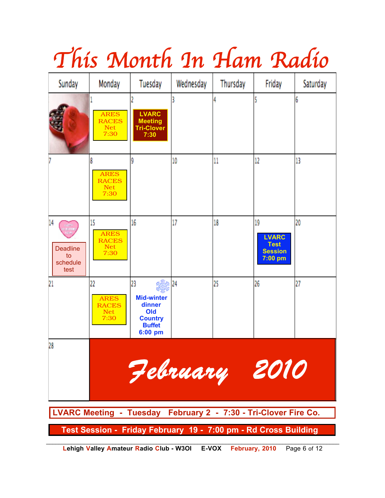

# *This Month In Ham Radio*

**Lehigh Valley Amateur Radio Club - W3OI E-VOX February, 2010** Page 6 of 12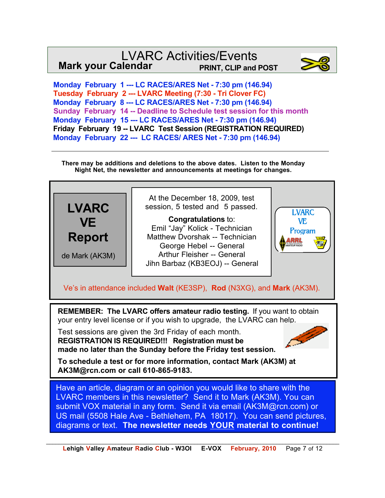#### LVARC Activities/Events **Mark your Calendar PRINT, CLIP and POST**



 **Monday February 1 --- LC RACES/ARES Net - 7:30 pm (146.94) Tuesday February 2 --- LVARC Meeting (7:30 - Tri Clover FC) Monday February 8 --- LC RACES/ARES Net - 7:30 pm (146.94) Sunday February 14 -- Deadline to Schedule test session for this month Monday February 15 --- LC RACES/ARES Net - 7:30 pm (146.94) Friday February 19 -- LVARC Test Session (REGISTRATION REQUIRED) Monday February 22 --- LC RACES/ ARES Net - 7:30 pm (146.94)**

**There may be additions and deletions to the above dates. Listen to the Monday Night Net, the newsletter and announcements at meetings for changes.**



**To schedule a test or for more information, contact Mark (AK3M) at AK3M@rcn.com or call 610-865-9183.**

Have an article, diagram or an opinion you would like to share with the LVARC members in this newsletter? Send it to Mark (AK3M). You can submit VOX material in any form. Send it via email (AK3M@rcn.com) or US mail (5508 Hale Ave - Bethlehem, PA 18017). You can send pictures, diagrams or text. **The newsletter needs YOUR material to continue!**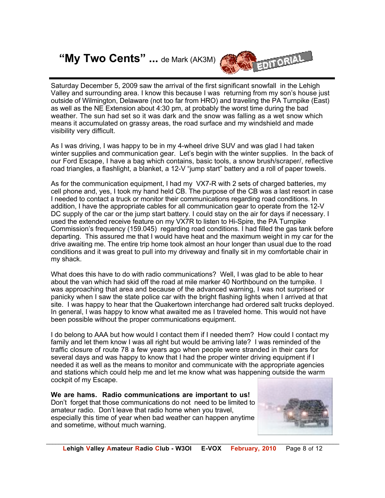### **"My Two Cents" ...** de Mark (AK3M)



Saturday December 5, 2009 saw the arrival of the first significant snowfall in the Lehigh Valley and surrounding area. I know this because I was returning from my son's house just outside of Wilmington, Delaware (not too far from HRO) and traveling the PA Turnpike (East) as well as the NE Extension about 4:30 pm, at probably the worst time during the bad weather. The sun had set so it was dark and the snow was falling as a wet snow which means it accumulated on grassy areas, the road surface and my windshield and made visibility very difficult.

As I was driving, I was happy to be in my 4-wheel drive SUV and was glad I had taken winter supplies and communication gear. Let's begin with the winter supplies. In the back of our Ford Escape, I have a bag which contains, basic tools, a snow brush/scraper/, reflective road triangles, a flashlight, a blanket, a 12-V "jump start" battery and a roll of paper towels.

As for the communication equipment, I had my VX7-R with 2 sets of charged batteries, my cell phone and, yes, I took my hand held CB. The purpose of the CB was a last resort in case I needed to contact a truck or monitor their communications regarding road conditions. In addition, I have the appropriate cables for all communication gear to operate from the 12-V DC supply of the car or the jump start battery. I could stay on the air for days if necessary. I used the extended receive feature on my VX7R to listen to Hi-Spire, the PA Turnpike Commission's frequency (159.045) regarding road conditions. I had filled the gas tank before departing. This assured me that I would have heat and the maximum weight in my car for the drive awaiting me. The entire trip home took almost an hour longer than usual due to the road conditions and it was great to pull into my driveway and finally sit in my comfortable chair in my shack.

What does this have to do with radio communications? Well, I was glad to be able to hear about the van which had skid off the road at mile marker 40 Northbound on the turnpike. I was approaching that area and because of the advanced warning, I was not surprised or panicky when I saw the state police car with the bright flashing lights when I arrived at that site. I was happy to hear that the Quakertown interchange had ordered salt trucks deployed. In general, I was happy to know what awaited me as I traveled home. This would not have been possible without the proper communications equipment.

I do belong to AAA but how would I contact them if I needed them? How could I contact my family and let them know I was all right but would be arriving late? I was reminded of the traffic closure of route 78 a few years ago when people were stranded in their cars for several days and was happy to know that I had the proper winter driving equipment if I needed it as well as the means to monitor and communicate with the appropriate agencies and stations which could help me and let me know what was happening outside the warm cockpit of my Escape.

**We are hams. Radio communications are important to us!**  Don't forget that those communications do not need to be limited to amateur radio. Don't leave that radio home when you travel, especially this time of year when bad weather can happen anytime and sometime, without much warning.

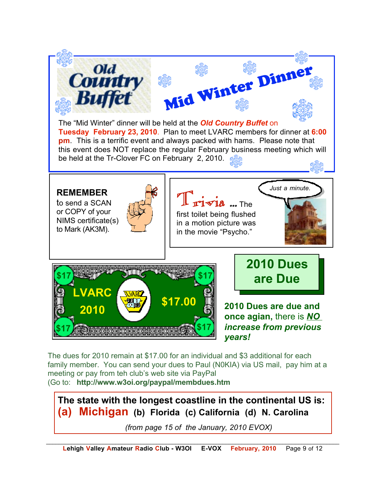

The dues for 2010 remain at \$17.00 for an individual and \$3 additional for each family member. You can send your dues to Paul (N0KIA) via US mail, pay him at a meeting or pay from teh club's web site via PayPal (Go to: **http://www.w3oi.org/paypal/membdues.htm**

**The state with the longest coastline in the continental US is: (a) Michigan (b) Florida (c) California (d) N. Carolina**

*(from page 15 of the January, 2010 EVOX)*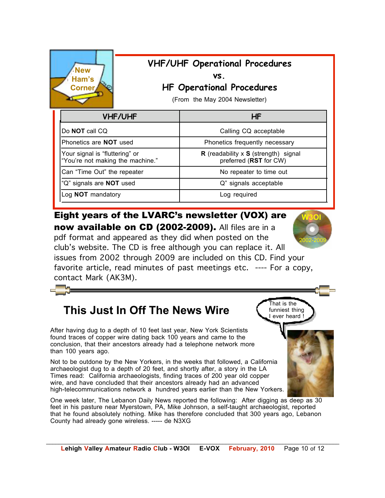| <b>VHF/UHF Operational Procedures</b><br><b>New</b><br>VS.<br>Ham's<br><b>HF Operational Procedures</b><br><b>Corner</b><br>(From the May 2004 Newsletter) |                                                                              |
|------------------------------------------------------------------------------------------------------------------------------------------------------------|------------------------------------------------------------------------------|
| <b>VHF/UHF</b>                                                                                                                                             | <b>HF</b>                                                                    |
| Do <b>NOT</b> call CQ                                                                                                                                      | Calling CQ acceptable                                                        |
| Phonetics are <b>NOT</b> used                                                                                                                              | Phonetics frequently necessary                                               |
| Your signal is "fluttering" or<br>"You're not making the machine."                                                                                         | <b>R</b> (readability x <b>S</b> (strength) signal<br>preferred (RST for CW) |
| Can "Time Out" the repeater                                                                                                                                | No repeater to time out                                                      |
| "Q" signals are <b>NOT</b> used                                                                                                                            | Q" signals acceptable                                                        |
| Log <b>NOT</b> mandatory                                                                                                                                   | Log required                                                                 |

Eight years of the LVARC's newsletter (VOX) are now available on CD (2002-2009). All files are in a pdf format and appeared as they did when posted on the club's website. The CD is free although you can replace it. All issues from 2002 through 2009 are included on this CD. Find your favorite article, read minutes of past meetings etc. ---- For a copy, contact Mark (AK3M).

## **This Just In Off The News Wire** Channels thing

After having dug to a depth of 10 feet last year, New York Scientists found traces of copper wire dating back 100 years and came to the conclusion, that their ancestors already had a telephone network more than 100 years ago.

Not to be outdone by the New Yorkers, in the weeks that followed, a California archaeologist dug to a depth of 20 feet, and shortly after, a story in the LA Times read: California archaeologists, finding traces of 200 year old copper wire, and have concluded that their ancestors already had an advanced high-telecommunications network a hundred years earlier than the New Yorkers.

One week later, The Lebanon Daily News reported the following: After digging as deep as 30 feet in his pasture near Myerstown, PA, Mike Johnson, a self-taught archaeologist, reported that he found absolutely nothing. Mike has therefore concluded that 300 years ago, Lebanon County had already gone wireless. ----- de N3XG





That is the funniest thing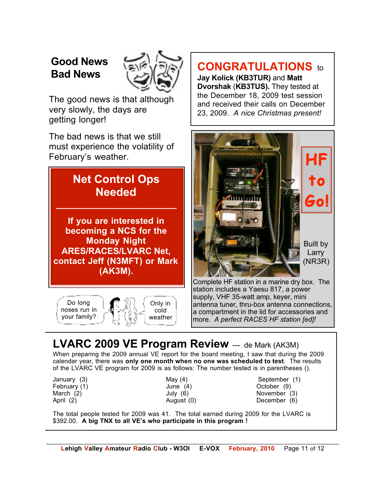## **Good News Bad News**



The good news is that although very slowly, the days are getting longer!

The bad news is that we still must experience the volatility of February's weather.

### **Net Control Ops Needed \_\_\_\_\_\_\_\_\_\_\_\_\_\_\_\_\_\_\_\_\_\_\_\_**

**If you are interested in becoming a NCS for the Monday Night ARES/RACES/LVARC Net, contact Jeff (N3MFT) or Mark (AK3M).**



## **CONGRATULATIONS** to

**Jay Kolick (KB3TUR)** and **Matt Dvorshak** (**KB3TUS).** They tested at the December 18, 2009 test session and received their calls on December 23, 2009. *A nice Christmas present!*



Complete HF station in a marine dry box. The station includes a Yaesu 817, a power supply, VHF 35-watt amp, keyer, mini antenna tuner, thru-box antenna connections, a compartment in the lid for accessories and more. *A perfect RACES HF station [ed]!* 

## **LVARC 2009 VE Program Review** --- de Mark (AK3M)

When preparing the 2009 annual VE report for the board meeting, I saw that during the 2009 calendar year, there was **only one month when no one was scheduled to test**. The results of the LVARC VE program for 2009 is as follows: The number tested is in parentheses ().

- 
- January (3) May (4) September (1) February (1) June (4) October (9) March (2) **March (2)** July (6) **November (3)** April (2) **August (0)** December (6)

The total people tested for 2009 was 41. The total earned during 2009 for the LVARC is \$392.00. **A big TNX to all VE's who participate in this program !**